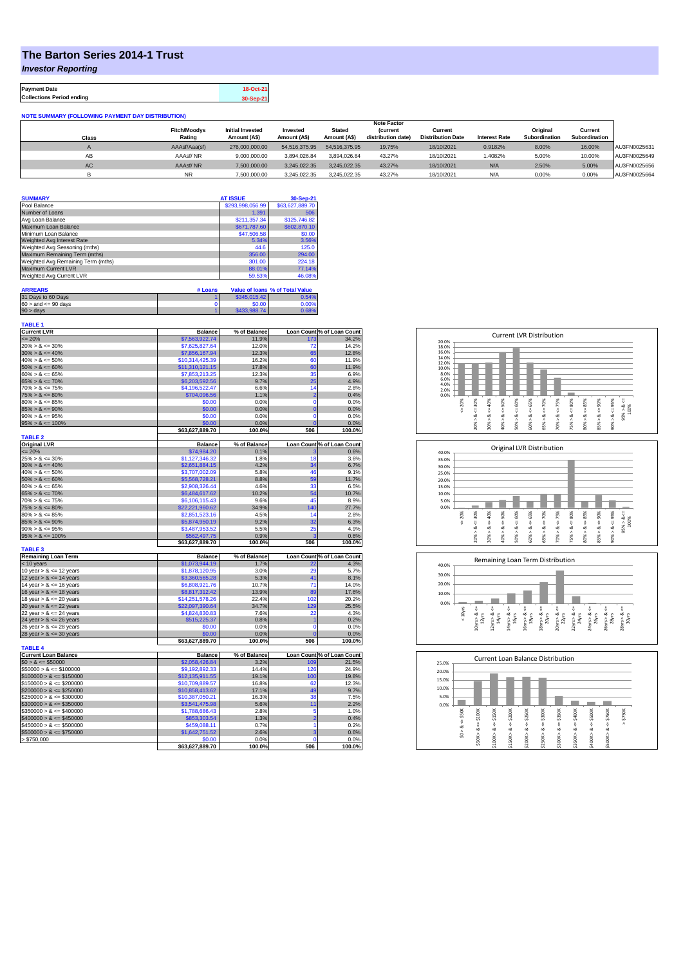## **The Barton Series 2014-1 Trust**

*Investor Reporting*

| <b>Payment Date</b>              | 18-Oct-21 |
|----------------------------------|-----------|
| <b>Collections Period ending</b> | 30-Sep-21 |

**NOTE SUMMARY (FOLLOWING PAYMENT DAY DISTRIBUTION)**

|           |                     |                         |               |               | <b>Note Factor</b> |                          |                      |               |               |              |
|-----------|---------------------|-------------------------|---------------|---------------|--------------------|--------------------------|----------------------|---------------|---------------|--------------|
|           | <b>Fitch/Moodys</b> | <b>Initial Invested</b> | Invested      | <b>Stated</b> | <b>(current</b>    | Current                  |                      | Original      | Current       |              |
| Class     | Rating              | Amount (A\$)            | Amount (A\$)  | Amount (A\$)  | distribution date) | <b>Distribution Date</b> | <b>Interest Rate</b> | Subordination | Subordination |              |
|           | AAAsf/Aaa(sf)       | 276,000,000,00          | 54.516.375.95 | 54.516.375.95 | 19.75%             | 18/10/2021               | 0.9182%              | 8.00%         | 16.00%        | AU3FN0025631 |
| AB        | AAAsf/NR            | 9.000.000.00            | 3.894.026.84  | 3.894.026.84  | 43.27%             | 18/10/2021               | 1.4082%              | 5.00%         | 10.00%        | AU3FN0025649 |
| <b>AC</b> | AAAsf/NR            | 7,500,000.00            | 3.245.022.35  | 3.245.022.35  | 43.27%             | 18/10/2021               | N/A                  | 2.50%         | 5.00%         | AU3FN0025656 |
|           | <b>NR</b>           | 7.500.000.00            | 3.245.022.35  | 3.245.022.35  | 43.27%             | 18/10/2021               | N/A                  | 0.00%         | 0.00%         | AU3FN0025664 |

| <b>SUMMARY</b>                     | <b>AT ISSUE</b>  | 30-Sep-21       |
|------------------------------------|------------------|-----------------|
| Pool Balance                       | \$293,998,056.99 | \$63,627,889.70 |
| Number of Loans                    | 1.391            | 506             |
| Avg Loan Balance                   | \$211,357.34     | \$125,746.82    |
| Maximum Loan Balance               | \$671,787.60     | \$602,870.10    |
| Minimum Loan Balance               | \$47,506.58      | \$0.00          |
| Weighted Avg Interest Rate         | 5.34%            | 3.56%           |
| Weighted Avg Seasoning (mths)      | 44.6             | 125.0           |
| Maximum Remaining Term (mths)      | 356.00           | 294.00          |
| Weighted Avg Remaining Term (mths) | 301.00           | 224.18          |
| Maximum Current LVR                | 88.01%           | 77.14%          |
| Weighted Avg Current LVR           | 59.53%           | 46.08%          |

| <b>ARREARS</b>            | # Loans |              | Value of Ioans % of Total Value |
|---------------------------|---------|--------------|---------------------------------|
| 31 Days to 60 Days        |         | \$345,015.42 | 0.54%                           |
| $60 >$ and $\leq 90$ days |         | \$0.00       | 0.00%                           |
| $90 >$ days               |         | \$433,988.74 | 0.68%                           |

| Loan Count % of Loan Count<br>$= 20%$<br>11.9%<br>34.2%<br>\$7,563,922.74<br>173<br>14.2%<br>$20\% > 8 \le 30\%$<br>\$7,625,827.64<br>12.0%<br>72<br>12.8%<br>$30\% > 8 \le 40\%$<br>\$7,856,167.94<br>12.3%<br>65<br>16.2%<br>60<br>$40\% > 8 \le 50\%$<br>\$10,314,425.39<br>11.9%<br>17.8%<br>60<br>11.9%<br>$50\% > 8 \le 60\%$<br>\$11,310,121.15<br>$60\% > 8 \le 65\%$<br>12.3%<br>35<br>6.9%<br>\$7,853,213.25<br>$65\% > 8 \le 70\%$<br>9.7%<br>25<br>4.9%<br>\$6,203,592.56<br>$70\% > 8 \le 75\%$<br>\$4,196,522.47<br>6.6%<br>14<br>2.8%<br>\$704,096.56<br>1.1%<br>$\overline{2}$<br>0.4%<br>$75\% > 8 \le 80\%$<br>0.0%<br>$80\% > 8 \le 85\%$<br>\$0.00<br>$\mathbf 0$<br>0.0%<br>$\overline{0}$<br>$85\% > 8 \le 90\%$<br>\$0.00<br>0.0%<br>0.0%<br>$90\% > 8 \le 95\%$<br>\$0.00<br>0.0%<br>$\mathbf 0$<br>0.0%<br>$95\% > 8 \le 100\%$<br>\$0.00<br>0.0%<br>$\Omega$<br>0.0%<br>\$63,627,889.70<br>100.0%<br>506<br>100.0%<br><b>TABLE 2</b><br><b>Original LVR</b><br>Loan Count % of Loan Count<br><b>Balance</b><br>% of Balance<br>$= 20%$<br>\$74,984.20<br>0.6%<br>0.1%<br>$25\% > 8 \le 30\%$<br>\$1,127,346.32<br>1.8%<br>18<br>3.6%<br>$30\% > 8 \le 40\%$<br>\$2,651,884.15<br>4.2%<br>34<br>6.7%<br>$40\% > 8 \le 50\%$<br>5.8%<br>46<br>9.1%<br>\$3,707,002.09<br>$50\% > 8 \le 60\%$<br>8.8%<br>59<br>11.7%<br>\$5,568,728.21<br>$60\% > 8 \le 65\%$<br>4.6%<br>33<br>\$2,908,326.44<br>6.5%<br>$65\% > 8 \le 70\%$<br>\$6,484,617.62<br>10.2%<br>54<br>10.7%<br>$70\% > 8 \le 75\%$<br>45<br>\$6,106,115.43<br>9.6%<br>8.9%<br>$75\% > 8 \le 80\%$<br>\$22,221,960.62<br>34.9%<br>140<br>27.7%<br>$80\% > 8 \le 85\%$<br>4.5%<br>14<br>2.8%<br>\$2,851,523.16<br>$85\% > 8 \le 90\%$<br>\$5,874,950.19<br>9.2%<br>32<br>6.3%<br>$90\% > 8 \le 95\%$<br>5.5%<br>25<br>4.9%<br>\$3,487,953.52<br>$95\% > 8 \le 100\%$<br>\$562,497.75<br>0.9%<br>ś<br>0.6%<br>100.0%<br>506<br>\$63,627,889.70<br>100.0%<br><b>TABLE 3</b><br><b>Remaining Loan Term</b><br>Loan Count % of Loan Count<br>% of Balance<br><b>Balance</b><br>1.7%<br>22<br>< 10 years<br>\$1,073,944.19<br>4.3%<br>3.0%<br>29<br>5.7%<br>10 year $> 8 \le 12$ years<br>\$1,878,120.95<br>5.3%<br>12 year $> 8 \le 14$ years<br>\$3,360,565.28<br>41<br>8.1%<br>14 year $> 8 \le 16$ years<br>\$6,808,921.76<br>10.7%<br>71<br>14.0%<br>89<br>16 year $> 8 \le 18$ years<br>\$8,817,312.42<br>13.9%<br>17.6%<br>18 year $> 8 \le 20$ years<br>\$14,251,578.26<br>22.4%<br>102<br>20.2%<br>34.7%<br>129<br>25.5%<br>20 year $> 8 \le 22$ years<br>\$22,097,390.64<br>22 year $> 8 \le 24$ years<br>\$4,824,830.83<br>7.6%<br>22<br>4.3%<br>24 year $> 8 \le 26$ years<br>\$515,225.37<br>0.8%<br>0.2%<br>1<br>26 year $> 8 \le 28$ years<br>\$0.00<br>0.0%<br>$\mathbf 0$<br>0.0%<br>0.0%<br>$\overline{0}$<br>0.0%<br>28 year $> 8 \le 30$ years<br>\$0.00<br>100.0%<br>506<br>100.0%<br>\$63,627,889.70<br><b>TABLE 4</b><br><b>Current Loan Balance</b><br>Loan Count % of Loan Count<br><b>Balance</b><br>% of Balance<br>$$0 > 8 \le $50000$<br>\$2,058,426.84<br>3.2%<br>109<br>126<br>$$50000 > 8 \le $100000$<br>\$9,192,892.33<br>14.4%<br>19.1%<br>100<br>$$100000 > 8 \le $150000$<br>\$12,135,911.55<br>$$150000 > 8 \leq $200000$<br>16.8%<br>62<br>\$10,709,889.57<br>$$200000 > 8 \leq $250000$<br>17.1%<br>49<br>\$10,858,413.62<br>16.3%<br>$$250000 > 8 \le $300000$<br>\$10,387,050.21<br>38<br>$$300000 > 8 \leq $350000$<br>\$3,541,475.98<br>5.6%<br>11<br>2.8%<br>$$350000 > 8 \le $400000$<br>\$1,788,686.43<br>5<br>1.0%<br>$\overline{2}$<br>$$400000 > 8 \le $450000$<br>1.3%<br>0.4%<br>\$853,303.54<br>$$450000 > 8 \le $500000$<br>0.7%<br>0.2%<br>\$459,088.11<br>1<br>3<br>$$500000 > 8 \le $750000$<br>\$1,642,751.52<br>2.6%<br>0.6%<br>> \$750,000<br>0.0%<br>$\Omega$<br>0.0%<br>\$0.00<br>506<br>\$63,627,889.70<br>100.0%<br>100.0% | <b>TABLE 1</b>     |                |              |       |
|----------------------------------------------------------------------------------------------------------------------------------------------------------------------------------------------------------------------------------------------------------------------------------------------------------------------------------------------------------------------------------------------------------------------------------------------------------------------------------------------------------------------------------------------------------------------------------------------------------------------------------------------------------------------------------------------------------------------------------------------------------------------------------------------------------------------------------------------------------------------------------------------------------------------------------------------------------------------------------------------------------------------------------------------------------------------------------------------------------------------------------------------------------------------------------------------------------------------------------------------------------------------------------------------------------------------------------------------------------------------------------------------------------------------------------------------------------------------------------------------------------------------------------------------------------------------------------------------------------------------------------------------------------------------------------------------------------------------------------------------------------------------------------------------------------------------------------------------------------------------------------------------------------------------------------------------------------------------------------------------------------------------------------------------------------------------------------------------------------------------------------------------------------------------------------------------------------------------------------------------------------------------------------------------------------------------------------------------------------------------------------------------------------------------------------------------------------------------------------------------------------------------------------------------------------------------------------------------------------------------------------------------------------------------------------------------------------------------------------------------------------------------------------------------------------------------------------------------------------------------------------------------------------------------------------------------------------------------------------------------------------------------------------------------------------------------------------------------------------------------------------------------------------------------------------------------------------------------------------------------------------------------------------------------------------------------------------------------------------------------------------------------------------------------------------------------------------------------------------------------------------------------------------------------------------------------------------------------------------------------------------------------------------------------------------------------------------------------------------------------------------------------------------------------------------------------------------------------------------------------|--------------------|----------------|--------------|-------|
|                                                                                                                                                                                                                                                                                                                                                                                                                                                                                                                                                                                                                                                                                                                                                                                                                                                                                                                                                                                                                                                                                                                                                                                                                                                                                                                                                                                                                                                                                                                                                                                                                                                                                                                                                                                                                                                                                                                                                                                                                                                                                                                                                                                                                                                                                                                                                                                                                                                                                                                                                                                                                                                                                                                                                                                                                                                                                                                                                                                                                                                                                                                                                                                                                                                                                                                                                                                                                                                                                                                                                                                                                                                                                                                                                                                                                                                                      | <b>Current LVR</b> | <b>Balance</b> | % of Balance |       |
|                                                                                                                                                                                                                                                                                                                                                                                                                                                                                                                                                                                                                                                                                                                                                                                                                                                                                                                                                                                                                                                                                                                                                                                                                                                                                                                                                                                                                                                                                                                                                                                                                                                                                                                                                                                                                                                                                                                                                                                                                                                                                                                                                                                                                                                                                                                                                                                                                                                                                                                                                                                                                                                                                                                                                                                                                                                                                                                                                                                                                                                                                                                                                                                                                                                                                                                                                                                                                                                                                                                                                                                                                                                                                                                                                                                                                                                                      |                    |                |              |       |
|                                                                                                                                                                                                                                                                                                                                                                                                                                                                                                                                                                                                                                                                                                                                                                                                                                                                                                                                                                                                                                                                                                                                                                                                                                                                                                                                                                                                                                                                                                                                                                                                                                                                                                                                                                                                                                                                                                                                                                                                                                                                                                                                                                                                                                                                                                                                                                                                                                                                                                                                                                                                                                                                                                                                                                                                                                                                                                                                                                                                                                                                                                                                                                                                                                                                                                                                                                                                                                                                                                                                                                                                                                                                                                                                                                                                                                                                      |                    |                |              |       |
|                                                                                                                                                                                                                                                                                                                                                                                                                                                                                                                                                                                                                                                                                                                                                                                                                                                                                                                                                                                                                                                                                                                                                                                                                                                                                                                                                                                                                                                                                                                                                                                                                                                                                                                                                                                                                                                                                                                                                                                                                                                                                                                                                                                                                                                                                                                                                                                                                                                                                                                                                                                                                                                                                                                                                                                                                                                                                                                                                                                                                                                                                                                                                                                                                                                                                                                                                                                                                                                                                                                                                                                                                                                                                                                                                                                                                                                                      |                    |                |              |       |
|                                                                                                                                                                                                                                                                                                                                                                                                                                                                                                                                                                                                                                                                                                                                                                                                                                                                                                                                                                                                                                                                                                                                                                                                                                                                                                                                                                                                                                                                                                                                                                                                                                                                                                                                                                                                                                                                                                                                                                                                                                                                                                                                                                                                                                                                                                                                                                                                                                                                                                                                                                                                                                                                                                                                                                                                                                                                                                                                                                                                                                                                                                                                                                                                                                                                                                                                                                                                                                                                                                                                                                                                                                                                                                                                                                                                                                                                      |                    |                |              |       |
|                                                                                                                                                                                                                                                                                                                                                                                                                                                                                                                                                                                                                                                                                                                                                                                                                                                                                                                                                                                                                                                                                                                                                                                                                                                                                                                                                                                                                                                                                                                                                                                                                                                                                                                                                                                                                                                                                                                                                                                                                                                                                                                                                                                                                                                                                                                                                                                                                                                                                                                                                                                                                                                                                                                                                                                                                                                                                                                                                                                                                                                                                                                                                                                                                                                                                                                                                                                                                                                                                                                                                                                                                                                                                                                                                                                                                                                                      |                    |                |              |       |
|                                                                                                                                                                                                                                                                                                                                                                                                                                                                                                                                                                                                                                                                                                                                                                                                                                                                                                                                                                                                                                                                                                                                                                                                                                                                                                                                                                                                                                                                                                                                                                                                                                                                                                                                                                                                                                                                                                                                                                                                                                                                                                                                                                                                                                                                                                                                                                                                                                                                                                                                                                                                                                                                                                                                                                                                                                                                                                                                                                                                                                                                                                                                                                                                                                                                                                                                                                                                                                                                                                                                                                                                                                                                                                                                                                                                                                                                      |                    |                |              |       |
|                                                                                                                                                                                                                                                                                                                                                                                                                                                                                                                                                                                                                                                                                                                                                                                                                                                                                                                                                                                                                                                                                                                                                                                                                                                                                                                                                                                                                                                                                                                                                                                                                                                                                                                                                                                                                                                                                                                                                                                                                                                                                                                                                                                                                                                                                                                                                                                                                                                                                                                                                                                                                                                                                                                                                                                                                                                                                                                                                                                                                                                                                                                                                                                                                                                                                                                                                                                                                                                                                                                                                                                                                                                                                                                                                                                                                                                                      |                    |                |              |       |
|                                                                                                                                                                                                                                                                                                                                                                                                                                                                                                                                                                                                                                                                                                                                                                                                                                                                                                                                                                                                                                                                                                                                                                                                                                                                                                                                                                                                                                                                                                                                                                                                                                                                                                                                                                                                                                                                                                                                                                                                                                                                                                                                                                                                                                                                                                                                                                                                                                                                                                                                                                                                                                                                                                                                                                                                                                                                                                                                                                                                                                                                                                                                                                                                                                                                                                                                                                                                                                                                                                                                                                                                                                                                                                                                                                                                                                                                      |                    |                |              |       |
|                                                                                                                                                                                                                                                                                                                                                                                                                                                                                                                                                                                                                                                                                                                                                                                                                                                                                                                                                                                                                                                                                                                                                                                                                                                                                                                                                                                                                                                                                                                                                                                                                                                                                                                                                                                                                                                                                                                                                                                                                                                                                                                                                                                                                                                                                                                                                                                                                                                                                                                                                                                                                                                                                                                                                                                                                                                                                                                                                                                                                                                                                                                                                                                                                                                                                                                                                                                                                                                                                                                                                                                                                                                                                                                                                                                                                                                                      |                    |                |              |       |
|                                                                                                                                                                                                                                                                                                                                                                                                                                                                                                                                                                                                                                                                                                                                                                                                                                                                                                                                                                                                                                                                                                                                                                                                                                                                                                                                                                                                                                                                                                                                                                                                                                                                                                                                                                                                                                                                                                                                                                                                                                                                                                                                                                                                                                                                                                                                                                                                                                                                                                                                                                                                                                                                                                                                                                                                                                                                                                                                                                                                                                                                                                                                                                                                                                                                                                                                                                                                                                                                                                                                                                                                                                                                                                                                                                                                                                                                      |                    |                |              |       |
|                                                                                                                                                                                                                                                                                                                                                                                                                                                                                                                                                                                                                                                                                                                                                                                                                                                                                                                                                                                                                                                                                                                                                                                                                                                                                                                                                                                                                                                                                                                                                                                                                                                                                                                                                                                                                                                                                                                                                                                                                                                                                                                                                                                                                                                                                                                                                                                                                                                                                                                                                                                                                                                                                                                                                                                                                                                                                                                                                                                                                                                                                                                                                                                                                                                                                                                                                                                                                                                                                                                                                                                                                                                                                                                                                                                                                                                                      |                    |                |              |       |
|                                                                                                                                                                                                                                                                                                                                                                                                                                                                                                                                                                                                                                                                                                                                                                                                                                                                                                                                                                                                                                                                                                                                                                                                                                                                                                                                                                                                                                                                                                                                                                                                                                                                                                                                                                                                                                                                                                                                                                                                                                                                                                                                                                                                                                                                                                                                                                                                                                                                                                                                                                                                                                                                                                                                                                                                                                                                                                                                                                                                                                                                                                                                                                                                                                                                                                                                                                                                                                                                                                                                                                                                                                                                                                                                                                                                                                                                      |                    |                |              |       |
|                                                                                                                                                                                                                                                                                                                                                                                                                                                                                                                                                                                                                                                                                                                                                                                                                                                                                                                                                                                                                                                                                                                                                                                                                                                                                                                                                                                                                                                                                                                                                                                                                                                                                                                                                                                                                                                                                                                                                                                                                                                                                                                                                                                                                                                                                                                                                                                                                                                                                                                                                                                                                                                                                                                                                                                                                                                                                                                                                                                                                                                                                                                                                                                                                                                                                                                                                                                                                                                                                                                                                                                                                                                                                                                                                                                                                                                                      |                    |                |              |       |
|                                                                                                                                                                                                                                                                                                                                                                                                                                                                                                                                                                                                                                                                                                                                                                                                                                                                                                                                                                                                                                                                                                                                                                                                                                                                                                                                                                                                                                                                                                                                                                                                                                                                                                                                                                                                                                                                                                                                                                                                                                                                                                                                                                                                                                                                                                                                                                                                                                                                                                                                                                                                                                                                                                                                                                                                                                                                                                                                                                                                                                                                                                                                                                                                                                                                                                                                                                                                                                                                                                                                                                                                                                                                                                                                                                                                                                                                      |                    |                |              |       |
|                                                                                                                                                                                                                                                                                                                                                                                                                                                                                                                                                                                                                                                                                                                                                                                                                                                                                                                                                                                                                                                                                                                                                                                                                                                                                                                                                                                                                                                                                                                                                                                                                                                                                                                                                                                                                                                                                                                                                                                                                                                                                                                                                                                                                                                                                                                                                                                                                                                                                                                                                                                                                                                                                                                                                                                                                                                                                                                                                                                                                                                                                                                                                                                                                                                                                                                                                                                                                                                                                                                                                                                                                                                                                                                                                                                                                                                                      |                    |                |              |       |
|                                                                                                                                                                                                                                                                                                                                                                                                                                                                                                                                                                                                                                                                                                                                                                                                                                                                                                                                                                                                                                                                                                                                                                                                                                                                                                                                                                                                                                                                                                                                                                                                                                                                                                                                                                                                                                                                                                                                                                                                                                                                                                                                                                                                                                                                                                                                                                                                                                                                                                                                                                                                                                                                                                                                                                                                                                                                                                                                                                                                                                                                                                                                                                                                                                                                                                                                                                                                                                                                                                                                                                                                                                                                                                                                                                                                                                                                      |                    |                |              |       |
|                                                                                                                                                                                                                                                                                                                                                                                                                                                                                                                                                                                                                                                                                                                                                                                                                                                                                                                                                                                                                                                                                                                                                                                                                                                                                                                                                                                                                                                                                                                                                                                                                                                                                                                                                                                                                                                                                                                                                                                                                                                                                                                                                                                                                                                                                                                                                                                                                                                                                                                                                                                                                                                                                                                                                                                                                                                                                                                                                                                                                                                                                                                                                                                                                                                                                                                                                                                                                                                                                                                                                                                                                                                                                                                                                                                                                                                                      |                    |                |              |       |
|                                                                                                                                                                                                                                                                                                                                                                                                                                                                                                                                                                                                                                                                                                                                                                                                                                                                                                                                                                                                                                                                                                                                                                                                                                                                                                                                                                                                                                                                                                                                                                                                                                                                                                                                                                                                                                                                                                                                                                                                                                                                                                                                                                                                                                                                                                                                                                                                                                                                                                                                                                                                                                                                                                                                                                                                                                                                                                                                                                                                                                                                                                                                                                                                                                                                                                                                                                                                                                                                                                                                                                                                                                                                                                                                                                                                                                                                      |                    |                |              |       |
|                                                                                                                                                                                                                                                                                                                                                                                                                                                                                                                                                                                                                                                                                                                                                                                                                                                                                                                                                                                                                                                                                                                                                                                                                                                                                                                                                                                                                                                                                                                                                                                                                                                                                                                                                                                                                                                                                                                                                                                                                                                                                                                                                                                                                                                                                                                                                                                                                                                                                                                                                                                                                                                                                                                                                                                                                                                                                                                                                                                                                                                                                                                                                                                                                                                                                                                                                                                                                                                                                                                                                                                                                                                                                                                                                                                                                                                                      |                    |                |              |       |
|                                                                                                                                                                                                                                                                                                                                                                                                                                                                                                                                                                                                                                                                                                                                                                                                                                                                                                                                                                                                                                                                                                                                                                                                                                                                                                                                                                                                                                                                                                                                                                                                                                                                                                                                                                                                                                                                                                                                                                                                                                                                                                                                                                                                                                                                                                                                                                                                                                                                                                                                                                                                                                                                                                                                                                                                                                                                                                                                                                                                                                                                                                                                                                                                                                                                                                                                                                                                                                                                                                                                                                                                                                                                                                                                                                                                                                                                      |                    |                |              |       |
|                                                                                                                                                                                                                                                                                                                                                                                                                                                                                                                                                                                                                                                                                                                                                                                                                                                                                                                                                                                                                                                                                                                                                                                                                                                                                                                                                                                                                                                                                                                                                                                                                                                                                                                                                                                                                                                                                                                                                                                                                                                                                                                                                                                                                                                                                                                                                                                                                                                                                                                                                                                                                                                                                                                                                                                                                                                                                                                                                                                                                                                                                                                                                                                                                                                                                                                                                                                                                                                                                                                                                                                                                                                                                                                                                                                                                                                                      |                    |                |              |       |
|                                                                                                                                                                                                                                                                                                                                                                                                                                                                                                                                                                                                                                                                                                                                                                                                                                                                                                                                                                                                                                                                                                                                                                                                                                                                                                                                                                                                                                                                                                                                                                                                                                                                                                                                                                                                                                                                                                                                                                                                                                                                                                                                                                                                                                                                                                                                                                                                                                                                                                                                                                                                                                                                                                                                                                                                                                                                                                                                                                                                                                                                                                                                                                                                                                                                                                                                                                                                                                                                                                                                                                                                                                                                                                                                                                                                                                                                      |                    |                |              |       |
|                                                                                                                                                                                                                                                                                                                                                                                                                                                                                                                                                                                                                                                                                                                                                                                                                                                                                                                                                                                                                                                                                                                                                                                                                                                                                                                                                                                                                                                                                                                                                                                                                                                                                                                                                                                                                                                                                                                                                                                                                                                                                                                                                                                                                                                                                                                                                                                                                                                                                                                                                                                                                                                                                                                                                                                                                                                                                                                                                                                                                                                                                                                                                                                                                                                                                                                                                                                                                                                                                                                                                                                                                                                                                                                                                                                                                                                                      |                    |                |              |       |
|                                                                                                                                                                                                                                                                                                                                                                                                                                                                                                                                                                                                                                                                                                                                                                                                                                                                                                                                                                                                                                                                                                                                                                                                                                                                                                                                                                                                                                                                                                                                                                                                                                                                                                                                                                                                                                                                                                                                                                                                                                                                                                                                                                                                                                                                                                                                                                                                                                                                                                                                                                                                                                                                                                                                                                                                                                                                                                                                                                                                                                                                                                                                                                                                                                                                                                                                                                                                                                                                                                                                                                                                                                                                                                                                                                                                                                                                      |                    |                |              |       |
|                                                                                                                                                                                                                                                                                                                                                                                                                                                                                                                                                                                                                                                                                                                                                                                                                                                                                                                                                                                                                                                                                                                                                                                                                                                                                                                                                                                                                                                                                                                                                                                                                                                                                                                                                                                                                                                                                                                                                                                                                                                                                                                                                                                                                                                                                                                                                                                                                                                                                                                                                                                                                                                                                                                                                                                                                                                                                                                                                                                                                                                                                                                                                                                                                                                                                                                                                                                                                                                                                                                                                                                                                                                                                                                                                                                                                                                                      |                    |                |              |       |
|                                                                                                                                                                                                                                                                                                                                                                                                                                                                                                                                                                                                                                                                                                                                                                                                                                                                                                                                                                                                                                                                                                                                                                                                                                                                                                                                                                                                                                                                                                                                                                                                                                                                                                                                                                                                                                                                                                                                                                                                                                                                                                                                                                                                                                                                                                                                                                                                                                                                                                                                                                                                                                                                                                                                                                                                                                                                                                                                                                                                                                                                                                                                                                                                                                                                                                                                                                                                                                                                                                                                                                                                                                                                                                                                                                                                                                                                      |                    |                |              |       |
|                                                                                                                                                                                                                                                                                                                                                                                                                                                                                                                                                                                                                                                                                                                                                                                                                                                                                                                                                                                                                                                                                                                                                                                                                                                                                                                                                                                                                                                                                                                                                                                                                                                                                                                                                                                                                                                                                                                                                                                                                                                                                                                                                                                                                                                                                                                                                                                                                                                                                                                                                                                                                                                                                                                                                                                                                                                                                                                                                                                                                                                                                                                                                                                                                                                                                                                                                                                                                                                                                                                                                                                                                                                                                                                                                                                                                                                                      |                    |                |              |       |
|                                                                                                                                                                                                                                                                                                                                                                                                                                                                                                                                                                                                                                                                                                                                                                                                                                                                                                                                                                                                                                                                                                                                                                                                                                                                                                                                                                                                                                                                                                                                                                                                                                                                                                                                                                                                                                                                                                                                                                                                                                                                                                                                                                                                                                                                                                                                                                                                                                                                                                                                                                                                                                                                                                                                                                                                                                                                                                                                                                                                                                                                                                                                                                                                                                                                                                                                                                                                                                                                                                                                                                                                                                                                                                                                                                                                                                                                      |                    |                |              |       |
|                                                                                                                                                                                                                                                                                                                                                                                                                                                                                                                                                                                                                                                                                                                                                                                                                                                                                                                                                                                                                                                                                                                                                                                                                                                                                                                                                                                                                                                                                                                                                                                                                                                                                                                                                                                                                                                                                                                                                                                                                                                                                                                                                                                                                                                                                                                                                                                                                                                                                                                                                                                                                                                                                                                                                                                                                                                                                                                                                                                                                                                                                                                                                                                                                                                                                                                                                                                                                                                                                                                                                                                                                                                                                                                                                                                                                                                                      |                    |                |              |       |
|                                                                                                                                                                                                                                                                                                                                                                                                                                                                                                                                                                                                                                                                                                                                                                                                                                                                                                                                                                                                                                                                                                                                                                                                                                                                                                                                                                                                                                                                                                                                                                                                                                                                                                                                                                                                                                                                                                                                                                                                                                                                                                                                                                                                                                                                                                                                                                                                                                                                                                                                                                                                                                                                                                                                                                                                                                                                                                                                                                                                                                                                                                                                                                                                                                                                                                                                                                                                                                                                                                                                                                                                                                                                                                                                                                                                                                                                      |                    |                |              |       |
|                                                                                                                                                                                                                                                                                                                                                                                                                                                                                                                                                                                                                                                                                                                                                                                                                                                                                                                                                                                                                                                                                                                                                                                                                                                                                                                                                                                                                                                                                                                                                                                                                                                                                                                                                                                                                                                                                                                                                                                                                                                                                                                                                                                                                                                                                                                                                                                                                                                                                                                                                                                                                                                                                                                                                                                                                                                                                                                                                                                                                                                                                                                                                                                                                                                                                                                                                                                                                                                                                                                                                                                                                                                                                                                                                                                                                                                                      |                    |                |              |       |
|                                                                                                                                                                                                                                                                                                                                                                                                                                                                                                                                                                                                                                                                                                                                                                                                                                                                                                                                                                                                                                                                                                                                                                                                                                                                                                                                                                                                                                                                                                                                                                                                                                                                                                                                                                                                                                                                                                                                                                                                                                                                                                                                                                                                                                                                                                                                                                                                                                                                                                                                                                                                                                                                                                                                                                                                                                                                                                                                                                                                                                                                                                                                                                                                                                                                                                                                                                                                                                                                                                                                                                                                                                                                                                                                                                                                                                                                      |                    |                |              |       |
|                                                                                                                                                                                                                                                                                                                                                                                                                                                                                                                                                                                                                                                                                                                                                                                                                                                                                                                                                                                                                                                                                                                                                                                                                                                                                                                                                                                                                                                                                                                                                                                                                                                                                                                                                                                                                                                                                                                                                                                                                                                                                                                                                                                                                                                                                                                                                                                                                                                                                                                                                                                                                                                                                                                                                                                                                                                                                                                                                                                                                                                                                                                                                                                                                                                                                                                                                                                                                                                                                                                                                                                                                                                                                                                                                                                                                                                                      |                    |                |              |       |
|                                                                                                                                                                                                                                                                                                                                                                                                                                                                                                                                                                                                                                                                                                                                                                                                                                                                                                                                                                                                                                                                                                                                                                                                                                                                                                                                                                                                                                                                                                                                                                                                                                                                                                                                                                                                                                                                                                                                                                                                                                                                                                                                                                                                                                                                                                                                                                                                                                                                                                                                                                                                                                                                                                                                                                                                                                                                                                                                                                                                                                                                                                                                                                                                                                                                                                                                                                                                                                                                                                                                                                                                                                                                                                                                                                                                                                                                      |                    |                |              |       |
|                                                                                                                                                                                                                                                                                                                                                                                                                                                                                                                                                                                                                                                                                                                                                                                                                                                                                                                                                                                                                                                                                                                                                                                                                                                                                                                                                                                                                                                                                                                                                                                                                                                                                                                                                                                                                                                                                                                                                                                                                                                                                                                                                                                                                                                                                                                                                                                                                                                                                                                                                                                                                                                                                                                                                                                                                                                                                                                                                                                                                                                                                                                                                                                                                                                                                                                                                                                                                                                                                                                                                                                                                                                                                                                                                                                                                                                                      |                    |                |              |       |
|                                                                                                                                                                                                                                                                                                                                                                                                                                                                                                                                                                                                                                                                                                                                                                                                                                                                                                                                                                                                                                                                                                                                                                                                                                                                                                                                                                                                                                                                                                                                                                                                                                                                                                                                                                                                                                                                                                                                                                                                                                                                                                                                                                                                                                                                                                                                                                                                                                                                                                                                                                                                                                                                                                                                                                                                                                                                                                                                                                                                                                                                                                                                                                                                                                                                                                                                                                                                                                                                                                                                                                                                                                                                                                                                                                                                                                                                      |                    |                |              |       |
|                                                                                                                                                                                                                                                                                                                                                                                                                                                                                                                                                                                                                                                                                                                                                                                                                                                                                                                                                                                                                                                                                                                                                                                                                                                                                                                                                                                                                                                                                                                                                                                                                                                                                                                                                                                                                                                                                                                                                                                                                                                                                                                                                                                                                                                                                                                                                                                                                                                                                                                                                                                                                                                                                                                                                                                                                                                                                                                                                                                                                                                                                                                                                                                                                                                                                                                                                                                                                                                                                                                                                                                                                                                                                                                                                                                                                                                                      |                    |                |              |       |
|                                                                                                                                                                                                                                                                                                                                                                                                                                                                                                                                                                                                                                                                                                                                                                                                                                                                                                                                                                                                                                                                                                                                                                                                                                                                                                                                                                                                                                                                                                                                                                                                                                                                                                                                                                                                                                                                                                                                                                                                                                                                                                                                                                                                                                                                                                                                                                                                                                                                                                                                                                                                                                                                                                                                                                                                                                                                                                                                                                                                                                                                                                                                                                                                                                                                                                                                                                                                                                                                                                                                                                                                                                                                                                                                                                                                                                                                      |                    |                |              |       |
|                                                                                                                                                                                                                                                                                                                                                                                                                                                                                                                                                                                                                                                                                                                                                                                                                                                                                                                                                                                                                                                                                                                                                                                                                                                                                                                                                                                                                                                                                                                                                                                                                                                                                                                                                                                                                                                                                                                                                                                                                                                                                                                                                                                                                                                                                                                                                                                                                                                                                                                                                                                                                                                                                                                                                                                                                                                                                                                                                                                                                                                                                                                                                                                                                                                                                                                                                                                                                                                                                                                                                                                                                                                                                                                                                                                                                                                                      |                    |                |              |       |
|                                                                                                                                                                                                                                                                                                                                                                                                                                                                                                                                                                                                                                                                                                                                                                                                                                                                                                                                                                                                                                                                                                                                                                                                                                                                                                                                                                                                                                                                                                                                                                                                                                                                                                                                                                                                                                                                                                                                                                                                                                                                                                                                                                                                                                                                                                                                                                                                                                                                                                                                                                                                                                                                                                                                                                                                                                                                                                                                                                                                                                                                                                                                                                                                                                                                                                                                                                                                                                                                                                                                                                                                                                                                                                                                                                                                                                                                      |                    |                |              |       |
|                                                                                                                                                                                                                                                                                                                                                                                                                                                                                                                                                                                                                                                                                                                                                                                                                                                                                                                                                                                                                                                                                                                                                                                                                                                                                                                                                                                                                                                                                                                                                                                                                                                                                                                                                                                                                                                                                                                                                                                                                                                                                                                                                                                                                                                                                                                                                                                                                                                                                                                                                                                                                                                                                                                                                                                                                                                                                                                                                                                                                                                                                                                                                                                                                                                                                                                                                                                                                                                                                                                                                                                                                                                                                                                                                                                                                                                                      |                    |                |              |       |
|                                                                                                                                                                                                                                                                                                                                                                                                                                                                                                                                                                                                                                                                                                                                                                                                                                                                                                                                                                                                                                                                                                                                                                                                                                                                                                                                                                                                                                                                                                                                                                                                                                                                                                                                                                                                                                                                                                                                                                                                                                                                                                                                                                                                                                                                                                                                                                                                                                                                                                                                                                                                                                                                                                                                                                                                                                                                                                                                                                                                                                                                                                                                                                                                                                                                                                                                                                                                                                                                                                                                                                                                                                                                                                                                                                                                                                                                      |                    |                |              |       |
|                                                                                                                                                                                                                                                                                                                                                                                                                                                                                                                                                                                                                                                                                                                                                                                                                                                                                                                                                                                                                                                                                                                                                                                                                                                                                                                                                                                                                                                                                                                                                                                                                                                                                                                                                                                                                                                                                                                                                                                                                                                                                                                                                                                                                                                                                                                                                                                                                                                                                                                                                                                                                                                                                                                                                                                                                                                                                                                                                                                                                                                                                                                                                                                                                                                                                                                                                                                                                                                                                                                                                                                                                                                                                                                                                                                                                                                                      |                    |                |              |       |
|                                                                                                                                                                                                                                                                                                                                                                                                                                                                                                                                                                                                                                                                                                                                                                                                                                                                                                                                                                                                                                                                                                                                                                                                                                                                                                                                                                                                                                                                                                                                                                                                                                                                                                                                                                                                                                                                                                                                                                                                                                                                                                                                                                                                                                                                                                                                                                                                                                                                                                                                                                                                                                                                                                                                                                                                                                                                                                                                                                                                                                                                                                                                                                                                                                                                                                                                                                                                                                                                                                                                                                                                                                                                                                                                                                                                                                                                      |                    |                |              |       |
|                                                                                                                                                                                                                                                                                                                                                                                                                                                                                                                                                                                                                                                                                                                                                                                                                                                                                                                                                                                                                                                                                                                                                                                                                                                                                                                                                                                                                                                                                                                                                                                                                                                                                                                                                                                                                                                                                                                                                                                                                                                                                                                                                                                                                                                                                                                                                                                                                                                                                                                                                                                                                                                                                                                                                                                                                                                                                                                                                                                                                                                                                                                                                                                                                                                                                                                                                                                                                                                                                                                                                                                                                                                                                                                                                                                                                                                                      |                    |                |              |       |
|                                                                                                                                                                                                                                                                                                                                                                                                                                                                                                                                                                                                                                                                                                                                                                                                                                                                                                                                                                                                                                                                                                                                                                                                                                                                                                                                                                                                                                                                                                                                                                                                                                                                                                                                                                                                                                                                                                                                                                                                                                                                                                                                                                                                                                                                                                                                                                                                                                                                                                                                                                                                                                                                                                                                                                                                                                                                                                                                                                                                                                                                                                                                                                                                                                                                                                                                                                                                                                                                                                                                                                                                                                                                                                                                                                                                                                                                      |                    |                |              | 21.5% |
|                                                                                                                                                                                                                                                                                                                                                                                                                                                                                                                                                                                                                                                                                                                                                                                                                                                                                                                                                                                                                                                                                                                                                                                                                                                                                                                                                                                                                                                                                                                                                                                                                                                                                                                                                                                                                                                                                                                                                                                                                                                                                                                                                                                                                                                                                                                                                                                                                                                                                                                                                                                                                                                                                                                                                                                                                                                                                                                                                                                                                                                                                                                                                                                                                                                                                                                                                                                                                                                                                                                                                                                                                                                                                                                                                                                                                                                                      |                    |                |              | 24.9% |
|                                                                                                                                                                                                                                                                                                                                                                                                                                                                                                                                                                                                                                                                                                                                                                                                                                                                                                                                                                                                                                                                                                                                                                                                                                                                                                                                                                                                                                                                                                                                                                                                                                                                                                                                                                                                                                                                                                                                                                                                                                                                                                                                                                                                                                                                                                                                                                                                                                                                                                                                                                                                                                                                                                                                                                                                                                                                                                                                                                                                                                                                                                                                                                                                                                                                                                                                                                                                                                                                                                                                                                                                                                                                                                                                                                                                                                                                      |                    |                |              | 19.8% |
|                                                                                                                                                                                                                                                                                                                                                                                                                                                                                                                                                                                                                                                                                                                                                                                                                                                                                                                                                                                                                                                                                                                                                                                                                                                                                                                                                                                                                                                                                                                                                                                                                                                                                                                                                                                                                                                                                                                                                                                                                                                                                                                                                                                                                                                                                                                                                                                                                                                                                                                                                                                                                                                                                                                                                                                                                                                                                                                                                                                                                                                                                                                                                                                                                                                                                                                                                                                                                                                                                                                                                                                                                                                                                                                                                                                                                                                                      |                    |                |              | 12.3% |
|                                                                                                                                                                                                                                                                                                                                                                                                                                                                                                                                                                                                                                                                                                                                                                                                                                                                                                                                                                                                                                                                                                                                                                                                                                                                                                                                                                                                                                                                                                                                                                                                                                                                                                                                                                                                                                                                                                                                                                                                                                                                                                                                                                                                                                                                                                                                                                                                                                                                                                                                                                                                                                                                                                                                                                                                                                                                                                                                                                                                                                                                                                                                                                                                                                                                                                                                                                                                                                                                                                                                                                                                                                                                                                                                                                                                                                                                      |                    |                |              | 9.7%  |
|                                                                                                                                                                                                                                                                                                                                                                                                                                                                                                                                                                                                                                                                                                                                                                                                                                                                                                                                                                                                                                                                                                                                                                                                                                                                                                                                                                                                                                                                                                                                                                                                                                                                                                                                                                                                                                                                                                                                                                                                                                                                                                                                                                                                                                                                                                                                                                                                                                                                                                                                                                                                                                                                                                                                                                                                                                                                                                                                                                                                                                                                                                                                                                                                                                                                                                                                                                                                                                                                                                                                                                                                                                                                                                                                                                                                                                                                      |                    |                |              | 7.5%  |
|                                                                                                                                                                                                                                                                                                                                                                                                                                                                                                                                                                                                                                                                                                                                                                                                                                                                                                                                                                                                                                                                                                                                                                                                                                                                                                                                                                                                                                                                                                                                                                                                                                                                                                                                                                                                                                                                                                                                                                                                                                                                                                                                                                                                                                                                                                                                                                                                                                                                                                                                                                                                                                                                                                                                                                                                                                                                                                                                                                                                                                                                                                                                                                                                                                                                                                                                                                                                                                                                                                                                                                                                                                                                                                                                                                                                                                                                      |                    |                |              | 2.2%  |
|                                                                                                                                                                                                                                                                                                                                                                                                                                                                                                                                                                                                                                                                                                                                                                                                                                                                                                                                                                                                                                                                                                                                                                                                                                                                                                                                                                                                                                                                                                                                                                                                                                                                                                                                                                                                                                                                                                                                                                                                                                                                                                                                                                                                                                                                                                                                                                                                                                                                                                                                                                                                                                                                                                                                                                                                                                                                                                                                                                                                                                                                                                                                                                                                                                                                                                                                                                                                                                                                                                                                                                                                                                                                                                                                                                                                                                                                      |                    |                |              |       |
|                                                                                                                                                                                                                                                                                                                                                                                                                                                                                                                                                                                                                                                                                                                                                                                                                                                                                                                                                                                                                                                                                                                                                                                                                                                                                                                                                                                                                                                                                                                                                                                                                                                                                                                                                                                                                                                                                                                                                                                                                                                                                                                                                                                                                                                                                                                                                                                                                                                                                                                                                                                                                                                                                                                                                                                                                                                                                                                                                                                                                                                                                                                                                                                                                                                                                                                                                                                                                                                                                                                                                                                                                                                                                                                                                                                                                                                                      |                    |                |              |       |
|                                                                                                                                                                                                                                                                                                                                                                                                                                                                                                                                                                                                                                                                                                                                                                                                                                                                                                                                                                                                                                                                                                                                                                                                                                                                                                                                                                                                                                                                                                                                                                                                                                                                                                                                                                                                                                                                                                                                                                                                                                                                                                                                                                                                                                                                                                                                                                                                                                                                                                                                                                                                                                                                                                                                                                                                                                                                                                                                                                                                                                                                                                                                                                                                                                                                                                                                                                                                                                                                                                                                                                                                                                                                                                                                                                                                                                                                      |                    |                |              |       |
|                                                                                                                                                                                                                                                                                                                                                                                                                                                                                                                                                                                                                                                                                                                                                                                                                                                                                                                                                                                                                                                                                                                                                                                                                                                                                                                                                                                                                                                                                                                                                                                                                                                                                                                                                                                                                                                                                                                                                                                                                                                                                                                                                                                                                                                                                                                                                                                                                                                                                                                                                                                                                                                                                                                                                                                                                                                                                                                                                                                                                                                                                                                                                                                                                                                                                                                                                                                                                                                                                                                                                                                                                                                                                                                                                                                                                                                                      |                    |                |              |       |
|                                                                                                                                                                                                                                                                                                                                                                                                                                                                                                                                                                                                                                                                                                                                                                                                                                                                                                                                                                                                                                                                                                                                                                                                                                                                                                                                                                                                                                                                                                                                                                                                                                                                                                                                                                                                                                                                                                                                                                                                                                                                                                                                                                                                                                                                                                                                                                                                                                                                                                                                                                                                                                                                                                                                                                                                                                                                                                                                                                                                                                                                                                                                                                                                                                                                                                                                                                                                                                                                                                                                                                                                                                                                                                                                                                                                                                                                      |                    |                |              |       |
|                                                                                                                                                                                                                                                                                                                                                                                                                                                                                                                                                                                                                                                                                                                                                                                                                                                                                                                                                                                                                                                                                                                                                                                                                                                                                                                                                                                                                                                                                                                                                                                                                                                                                                                                                                                                                                                                                                                                                                                                                                                                                                                                                                                                                                                                                                                                                                                                                                                                                                                                                                                                                                                                                                                                                                                                                                                                                                                                                                                                                                                                                                                                                                                                                                                                                                                                                                                                                                                                                                                                                                                                                                                                                                                                                                                                                                                                      |                    |                |              |       |







| 25.0% |       |        |        |         | Current Loan Balance Distribution |        |        |        |        |        |        |
|-------|-------|--------|--------|---------|-----------------------------------|--------|--------|--------|--------|--------|--------|
| 20.0% |       |        |        |         |                                   |        |        |        |        |        |        |
| 15.0% |       |        |        |         |                                   |        |        |        |        |        |        |
| 10.0% |       |        |        |         |                                   |        |        |        |        |        |        |
| 5.0%  |       |        |        |         |                                   |        |        |        |        |        |        |
| 0.0%  |       |        |        |         |                                   |        |        |        |        |        |        |
|       | \$50K | \$100K | \$150K | \$200K  | \$250K                            | \$300K | \$350K | \$400K | \$500K | \$750K | \$750K |
|       | J.    |        |        |         |                                   |        |        |        |        |        | Λ      |
|       | œ     | ₩<br>ಹ | œ      | ₩<br>œ  | υ<br>œ                            | V<br>∞ | υ<br>œ | ű<br>ઌ | œ      | ₩<br>త |        |
|       | s.    |        | Λ      |         |                                   | ٨      |        | ٨      |        | ٨      |        |
|       |       | \$50K> | \$100K | \$150K> | \$200K                            | \$250K | \$300K | \$350K | \$400K | \$500K |        |
|       |       |        |        |         |                                   |        |        |        |        |        |        |